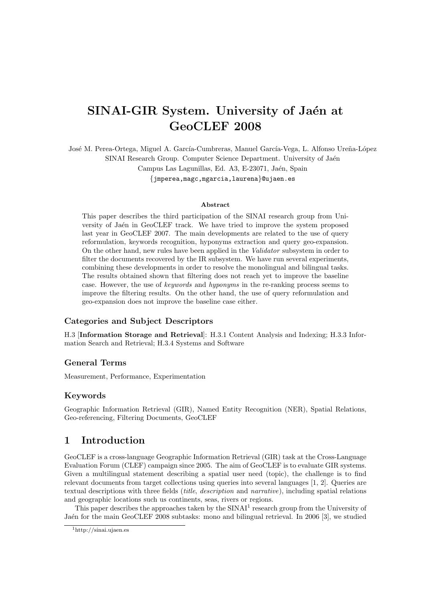# SINAI-GIR System. University of Jaén at GeoCLEF 2008

José M. Perea-Ortega, Miguel A. García-Cumbreras, Manuel García-Vega, L. Alfonso Ureña-López SINAI Research Group. Computer Science Department. University of Jaén Campus Las Lagunillas, Ed. A3, E-23071, Jaén, Spain {jmperea,magc,mgarcia,laurena}@ujaen.es

#### Abstract

This paper describes the third participation of the SINAI research group from University of Jaén in GeoCLEF track. We have tried to improve the system proposed last year in GeoCLEF 2007. The main developments are related to the use of query reformulation, keywords recognition, hyponyms extraction and query geo-expansion. On the other hand, new rules have been applied in the Validator subsystem in order to filter the documents recovered by the IR subsystem. We have run several experiments, combining these developments in order to resolve the monolingual and bilingual tasks. The results obtained shown that filtering does not reach yet to improve the baseline case. However, the use of keywords and hyponyms in the re-ranking process seems to improve the filtering results. On the other hand, the use of query reformulation and geo-expansion does not improve the baseline case either.

## Categories and Subject Descriptors

H.3 [Information Storage and Retrieval]: H.3.1 Content Analysis and Indexing; H.3.3 Information Search and Retrieval; H.3.4 Systems and Software

### General Terms

Measurement, Performance, Experimentation

#### Keywords

Geographic Information Retrieval (GIR), Named Entity Recognition (NER), Spatial Relations, Geo-referencing, Filtering Documents, GeoCLEF

# 1 Introduction

GeoCLEF is a cross-language Geographic Information Retrieval (GIR) task at the Cross-Language Evaluation Forum (CLEF) campaign since 2005. The aim of GeoCLEF is to evaluate GIR systems. Given a multilingual statement describing a spatial user need (topic), the challenge is to find relevant documents from target collections using queries into several languages [1, 2]. Queries are textual descriptions with three fields *(title, description* and *narrative)*, including spatial relations and geographic locations such us continents, seas, rivers or regions.

This paper describes the approaches taken by the  $SINAL<sup>1</sup>$  research group from the University of Jaén for the main GeoCLEF 2008 subtasks: mono and bilingual retrieval. In 2006 [3], we studied

<sup>1</sup>http://sinai.ujaen.es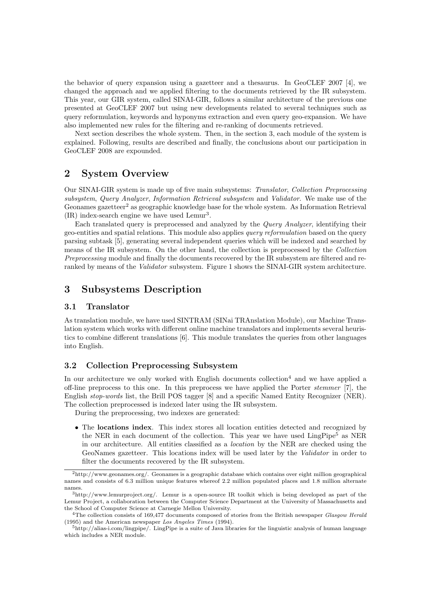the behavior of query expansion using a gazetteer and a thesaurus. In GeoCLEF 2007 [4], we changed the approach and we applied filtering to the documents retrieved by the IR subsystem. This year, our GIR system, called SINAI-GIR, follows a similar architecture of the previous one presented at GeoCLEF 2007 but using new developments related to several techniques such as query reformulation, keywords and hyponyms extraction and even query geo-expansion. We have also implemented new rules for the filtering and re-ranking of documents retrieved.

Next section describes the whole system. Then, in the section 3, each module of the system is explained. Following, results are described and finally, the conclusions about our participation in GeoCLEF 2008 are expounded.

# 2 System Overview

Our SINAI-GIR system is made up of five main subsystems: Translator, Collection Preprocessing subsystem, Query Analyzer, Information Retrieval subsystem and Validator. We make use of the Geonames gazetteer<sup>2</sup> as geographic knowledge base for the whole system. As Information Retrieval (IR) index-search engine we have used Lemur<sup>3</sup> .

Each translated query is preprocessed and analyzed by the Query Analyzer, identifying their geo-entities and spatial relations. This module also applies query reformulation based on the query parsing subtask [5], generating several independent queries which will be indexed and searched by means of the IR subsystem. On the other hand, the collection is preprocessed by the Collection Preprocessing module and finally the documents recovered by the IR subsystem are filtered and reranked by means of the *Validator* subsystem. Figure 1 shows the SINAI-GIR system architecture.

# 3 Subsystems Description

#### 3.1 Translator

As translation module, we have used SINTRAM (SINai TRAnslation Module), our Machine Translation system which works with different online machine translators and implements several heuristics to combine different translations [6]. This module translates the queries from other languages into English.

## 3.2 Collection Preprocessing Subsystem

In our architecture we only worked with English documents collection<sup>4</sup> and we have applied a off-line preprocess to this one. In this preprocess we have applied the Porter stemmer [7], the English stop-words list, the Brill POS tagger [8] and a specific Named Entity Recognizer (NER). The collection preprocessed is indexed later using the IR subsystem.

During the preprocessing, two indexes are generated:

• The locations index. This index stores all location entities detected and recognized by the NER in each document of the collection. This year we have used  $\text{LingPipe}^5$  as NER in our architecture. All entities classified as a location by the NER are checked using the GeoNames gazetteer. This locations index will be used later by the Validator in order to filter the documents recovered by the IR subsystem.

<sup>2</sup>http://www.geonames.org/. Geonames is a geographic database which contains over eight million geographical names and consists of 6.3 million unique features whereof 2.2 million populated places and 1.8 million alternate names.

<sup>3</sup>http://www.lemurproject.org/. Lemur is a open-source IR toolkit which is being developed as part of the Lemur Project, a collaboration between the Computer Science Department at the University of Massachusetts and the School of Computer Science at Carnegie Mellon University.

<sup>&</sup>lt;sup>4</sup>The collection consists of 169,477 documents composed of stories from the British newspaper Glasgow Herald (1995) and the American newspaper Los Angeles Times (1994).

 $5$ http://alias-i.com/lingpipe/. LingPipe is a suite of Java libraries for the linguistic analysis of human language which includes a NER module.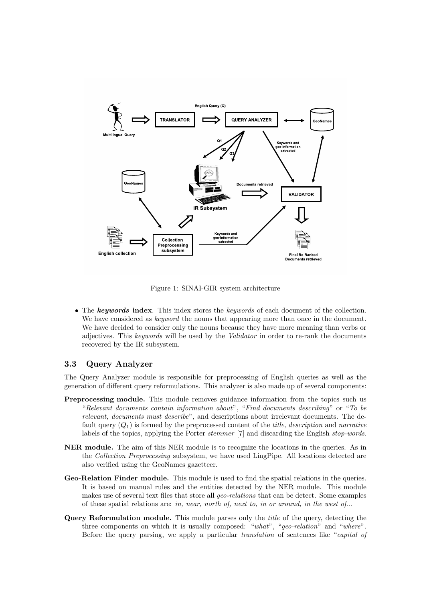

Figure 1: SINAI-GIR system architecture

• The keywords index. This index stores the *keywords* of each document of the collection. We have considered as *keyword* the nouns that appearing more than once in the document. We have decided to consider only the nouns because they have more meaning than verbs or adjectives. This keywords will be used by the Validator in order to re-rank the documents recovered by the IR subsystem.

## 3.3 Query Analyzer

The Query Analyzer module is responsible for preprocessing of English queries as well as the generation of different query reformulations. This analyzer is also made up of several components:

- Preprocessing module. This module removes guidance information from the topics such us "Relevant documents contain information about", "Find documents describing" or "To be relevant, documents must describe", and descriptions about irrelevant documents. The default query  $(Q_1)$  is formed by the preprocessed content of the *title, description* and narrative labels of the topics, applying the Porter stemmer [7] and discarding the English stop-words.
- NER module. The aim of this NER module is to recognize the locations in the queries. As in the Collection Preprocessing subsystem, we have used LingPipe. All locations detected are also verified using the GeoNames gazetteer.
- Geo-Relation Finder module. This module is used to find the spatial relations in the queries. It is based on manual rules and the entities detected by the NER module. This module makes use of several text files that store all geo-relations that can be detect. Some examples of these spatial relations are: in, near, north of, next to, in or around, in the west of...
- Query Reformulation module. This module parses only the title of the query, detecting the three components on which it is usually composed: "what", "geo-relation" and "where". Before the query parsing, we apply a particular translation of sentences like "capital of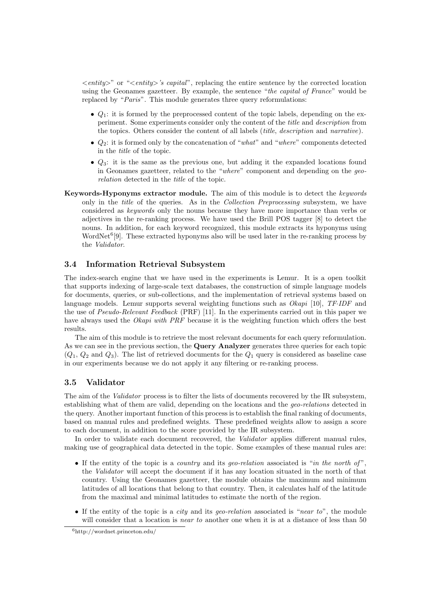$\langle$  entity>" or " $\langle$  entity>'s capital", replacing the entire sentence by the corrected location using the Geonames gazetteer. By example, the sentence "the capital of France" would be replaced by "Paris". This module generates three query reformulations:

- $Q_1$ : it is formed by the preprocessed content of the topic labels, depending on the experiment. Some experiments consider only the content of the title and description from the topics. Others consider the content of all labels (title, description and narrative).
- $Q_2$ : it is formed only by the concatenation of "what" and "where" components detected in the title of the topic.
- $Q_3$ : it is the same as the previous one, but adding it the expanded locations found in Geonames gazetteer, related to the "where" component and depending on the georelation detected in the title of the topic.
- Keywords-Hyponyms extractor module. The aim of this module is to detect the keywords only in the title of the queries. As in the Collection Preprocessing subsystem, we have considered as keywords only the nouns because they have more importance than verbs or adjectives in the re-ranking process. We have used the Brill POS tagger [8] to detect the nouns. In addition, for each keyword recognized, this module extracts its hyponyms using WordNet $6$ [9]. These extracted hyponyms also will be used later in the re-ranking process by the Validator.

## 3.4 Information Retrieval Subsystem

The index-search engine that we have used in the experiments is Lemur. It is a open toolkit that supports indexing of large-scale text databases, the construction of simple language models for documents, queries, or sub-collections, and the implementation of retrieval systems based on language models. Lemur supports several weighting functions such as Okapi [10], TF·IDF and the use of Pseudo-Relevant Feedback (PRF) [11]. In the experiments carried out in this paper we have always used the *Okapi with PRF* because it is the weighting function which offers the best results.

The aim of this module is to retrieve the most relevant documents for each query reformulation. As we can see in the previous section, the **Query Analyzer** generates three queries for each topic  $(Q_1, Q_2 \text{ and } Q_3)$ . The list of retrieved documents for the  $Q_1$  query is considered as baseline case in our experiments because we do not apply it any filtering or re-ranking process.

## 3.5 Validator

The aim of the *Validator* process is to filter the lists of documents recovered by the IR subsystem, establishing what of them are valid, depending on the locations and the geo-relations detected in the query. Another important function of this process is to establish the final ranking of documents, based on manual rules and predefined weights. These predefined weights allow to assign a score to each document, in addition to the score provided by the IR subsystem.

In order to validate each document recovered, the *Validator* applies different manual rules, making use of geographical data detected in the topic. Some examples of these manual rules are:

- If the entity of the topic is a *country* and its *geo-relation* associated is "*in the north of*", the Validator will accept the document if it has any location situated in the north of that country. Using the Geonames gazetteer, the module obtains the maximum and minimum latitudes of all locations that belong to that country. Then, it calculates half of the latitude from the maximal and minimal latitudes to estimate the north of the region.
- If the entity of the topic is a *city* and its *geo-relation* associated is "*near to*", the module will consider that a location is *near to* another one when it is at a distance of less than 50

<sup>6</sup>http://wordnet.princeton.edu/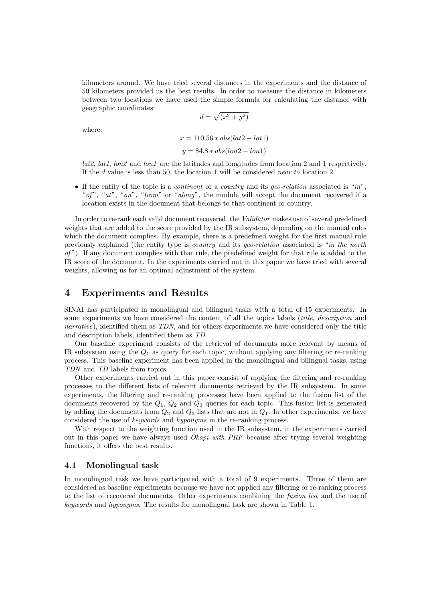kilometers around. We have tried several distances in the experiments and the distance of 50 kilometers provided us the best results. In order to measure the distance in kilometers between two locations we have used the simple formula for calculating the distance with geographic coordinates: p

$$
d = \sqrt{(x^2 + y^2)}
$$

where:

$$
x = 110.56 * abs(lat2 - lat1)
$$

$$
y = 84.8 * abs(lon2 - lon1)
$$

 $lat2, lat1, lon2$  and  $lon1$  are the latitudes and longitudes from location 2 and 1 respectively. If the d value is less than 50, the location 1 will be considered near to location 2.

• If the entity of the topic is a *continent* or a *country* and its *geo-relation* associated is "*in*", "of", "at", "on", "from" or "along", the module will accept the document recovered if a location exists in the document that belongs to that continent or country.

In order to re-rank each valid document recovered, the Validator makes use of several predefined weights that are added to the score provided by the IR subsystem, depending on the manual rules which the document complies. By example, there is a predefined weight for the first manual rule previously explained (the entity type is country and its geo-relation associated is "in the north  $of$ "). If any document complies with that rule, the predefined weight for that rule is added to the IR score of the document. In the experiments carried out in this paper we have tried with several weights, allowing us for an optimal adjustment of the system.

# 4 Experiments and Results

SINAI has participated in monolingual and bilingual tasks with a total of 15 experiments. In some experiments we have considered the content of all the topics labels *(title, description* and narrative), identified them as TDN, and for others experiments we have considered only the title and description labels, identified them as TD.

Our baseline experiment consists of the retrieval of documents more relevant by means of IR subsystem using the  $Q_1$  as query for each topic, without applying any filtering or re-ranking process. This baseline experiment has been applied in the monolingual and bilingual tasks, using TDN and TD labels from topics.

Other experiments carried out in this paper consist of applying the filtering and re-ranking processes to the different lists of relevant documents retrieved by the IR subsystem. In some experiments, the filtering and re-ranking processes have been applied to the fusion list of the documents recovered by the  $Q_1$ ,  $Q_2$  and  $Q_3$  queries for each topic. This fusion list is generated by adding the documents from  $Q_2$  and  $Q_3$  lists that are not in  $Q_1$ . In other experiments, we have considered the use of keywords and hyponyms in the re-ranking process.

With respect to the weighting function used in the IR subsystem, in the experiments carried out in this paper we have always used Okapi with PRF because after trying several weighting functions, it offers the best results.

#### 4.1 Monolingual task

In monolingual task we have participated with a total of 9 experiments. Three of them are considered as baseline experiments because we have not applied any filtering or re-ranking process to the list of recovered documents. Other experiments combining the fusion list and the use of keywords and hyponyms. The results for monolingual task are shown in Table 1.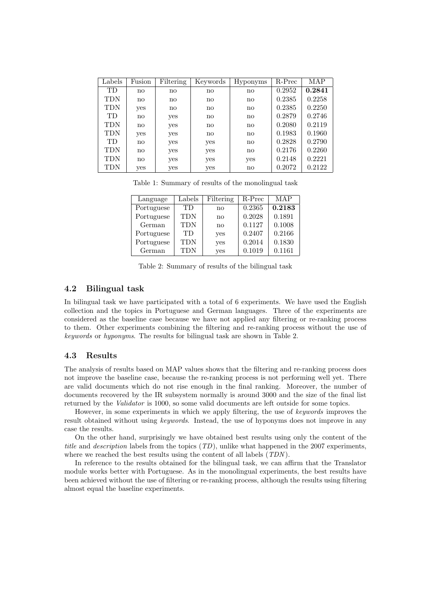| Labels     | Fusion        | Filtering     | Keywords               | Hyponyms               | R-Prec | MAP    |
|------------|---------------|---------------|------------------------|------------------------|--------|--------|
| TD         | $\mathbf{n}$  | $\mathbf{no}$ | $\mathbf{n}\mathbf{o}$ | $\mathbf{n}\mathbf{o}$ | 0.2952 | 0.2841 |
| <b>TDN</b> | $\mathbf{n}$  | no            | $\mathbf{n}\mathbf{o}$ | $\mathbf{n}\mathbf{o}$ | 0.2385 | 0.2258 |
| <b>TDN</b> | yes           | $\mathbf{no}$ | no                     | $\mathbf{n}\mathbf{o}$ | 0.2385 | 0.2250 |
| TD         | no            | yes           | no                     | $\mathbf{n}\mathbf{o}$ | 0.2879 | 0.2746 |
| <b>TDN</b> | no            | yes           | $\mathbf{n}\mathbf{o}$ | no                     | 0.2080 | 0.2119 |
| <b>TDN</b> | yes           | yes           | $\mathbf{n}\mathbf{o}$ | $\mathbf{n}\mathbf{o}$ | 0.1983 | 0.1960 |
| TD         | no            | yes           | yes                    | $\mathbf{n}\mathbf{o}$ | 0.2828 | 0.2790 |
| <b>TDN</b> | $\mathbf{no}$ | yes           | yes                    | $\mathbf{n}\mathbf{o}$ | 0.2176 | 0.2260 |
| <b>TDN</b> | no            | yes           | yes                    | yes                    | 0.2148 | 0.2221 |
| TDN        | yes           | yes           | yes                    | $\mathbf{n}\mathbf{o}$ | 0.2072 | 0.2122 |

Table 1: Summary of results of the monolingual task

| Language   | Labels | Filtering              | R-Prec | MAP    |
|------------|--------|------------------------|--------|--------|
| Portuguese | TD.    | $\mathbf{n}\mathbf{o}$ | 0.2365 | 0.2183 |
| Portuguese | TDN    | $\mathbf{no}$          | 0.2028 | 0.1891 |
| German     | TDN    | $\mathbf{n}\mathbf{o}$ | 0.1127 | 0.1008 |
| Portuguese | TD     | yes                    | 0.2407 | 0.2166 |
| Portuguese | TDN    | yes                    | 0.2014 | 0.1830 |
| German     | TDN    | yes                    | 0.1019 | 0.1161 |

Table 2: Summary of results of the bilingual task

#### 4.2 Bilingual task

In bilingual task we have participated with a total of 6 experiments. We have used the English collection and the topics in Portuguese and German languages. Three of the experiments are considered as the baseline case because we have not applied any filtering or re-ranking process to them. Other experiments combining the filtering and re-ranking process without the use of keywords or hyponyms. The results for bilingual task are shown in Table 2.

#### 4.3 Results

The analysis of results based on MAP values shows that the filtering and re-ranking process does not improve the baseline case, because the re-ranking process is not performing well yet. There are valid documents which do not rise enough in the final ranking. Moreover, the number of documents recovered by the IR subsystem normally is around 3000 and the size of the final list returned by the Validator is 1000, so some valid documents are left outside for some topics.

However, in some experiments in which we apply filtering, the use of keywords improves the result obtained without using keywords. Instead, the use of hyponyms does not improve in any case the results.

On the other hand, surprisingly we have obtained best results using only the content of the title and description labels from the topics  $(TD)$ , unlike what happened in the 2007 experiments, where we reached the best results using the content of all labels (TDN).

In reference to the results obtained for the bilingual task, we can affirm that the Translator module works better with Portuguese. As in the monolingual experiments, the best results have been achieved without the use of filtering or re-ranking process, although the results using filtering almost equal the baseline experiments.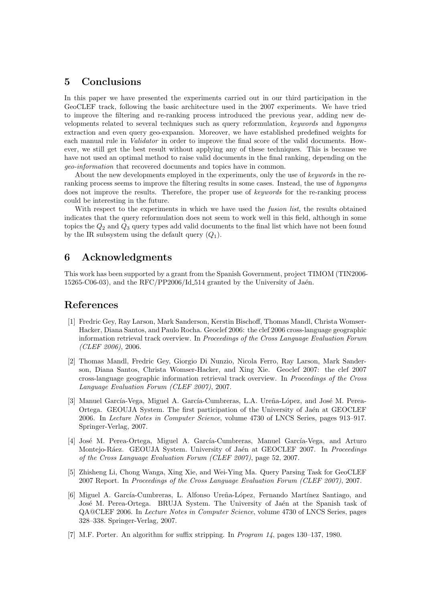# 5 Conclusions

In this paper we have presented the experiments carried out in our third participation in the GeoCLEF track, following the basic architecture used in the 2007 experiments. We have tried to improve the filtering and re-ranking process introduced the previous year, adding new developments related to several techniques such as query reformulation, keywords and hyponyms extraction and even query geo-expansion. Moreover, we have established predefined weights for each manual rule in Validator in order to improve the final score of the valid documents. However, we still get the best result without applying any of these techniques. This is because we have not used an optimal method to raise valid documents in the final ranking, depending on the geo-information that recovered documents and topics have in common.

About the new developments employed in the experiments, only the use of keywords in the reranking process seems to improve the filtering results in some cases. Instead, the use of hyponyms does not improve the results. Therefore, the proper use of keywords for the re-ranking process could be interesting in the future.

With respect to the experiments in which we have used the *fusion list*, the results obtained indicates that the query reformulation does not seem to work well in this field, although in some topics the  $Q_2$  and  $Q_3$  query types add valid documents to the final list which have not been found by the IR subsystem using the default query  $(Q_1)$ .

# 6 Acknowledgments

This work has been supported by a grant from the Spanish Government, project TIMOM (TIN2006- 15265-C06-03), and the  $\text{RFC}/\text{PP2006}/\text{Id}\text{-}514$  granted by the University of Jaén.

## References

- [1] Fredric Gey, Ray Larson, Mark Sanderson, Kerstin Bischoff, Thomas Mandl, Christa Womser-Hacker, Diana Santos, and Paulo Rocha. Geoclef 2006: the clef 2006 cross-language geographic information retrieval track overview. In Proceedings of the Cross Language Evaluation Forum (CLEF 2006), 2006.
- [2] Thomas Mandl, Fredric Gey, Giorgio Di Nunzio, Nicola Ferro, Ray Larson, Mark Sanderson, Diana Santos, Christa Womser-Hacker, and Xing Xie. Geoclef 2007: the clef 2007 cross-language geographic information retrieval track overview. In Proceedings of the Cross Language Evaluation Forum (CLEF 2007), 2007.
- [3] Manuel García-Vega, Miguel A. García-Cumbreras, L.A. Ureña-López, and José M. Perea-Ortega. GEOUJA System. The first participation of the University of Jaén at GEOCLEF 2006. In Lecture Notes in Computer Science, volume 4730 of LNCS Series, pages 913–917. Springer-Verlag, 2007.
- [4] José M. Perea-Ortega, Miguel A. García-Cumbreras, Manuel García-Vega, and Arturo Montejo-Ráez. GEOUJA System. University of Jaén at GEOCLEF 2007. In Proceedings of the Cross Language Evaluation Forum (CLEF 2007), page 52, 2007.
- [5] Zhisheng Li, Chong Wanga, Xing Xie, and Wei-Ying Ma. Query Parsing Task for GeoCLEF 2007 Report. In Proceedings of the Cross Language Evaluation Forum (CLEF 2007), 2007.
- [6] Miguel A. García-Cumbreras, L. Alfonso Ureña-López, Fernando Martínez Santiago, and José M. Perea-Ortega. BRUJA System. The University of Jaén at the Spanish task of QA@CLEF 2006. In Lecture Notes in Computer Science, volume 4730 of LNCS Series, pages 328–338. Springer-Verlag, 2007.
- [7] M.F. Porter. An algorithm for suffix stripping. In Program 14, pages 130–137, 1980.